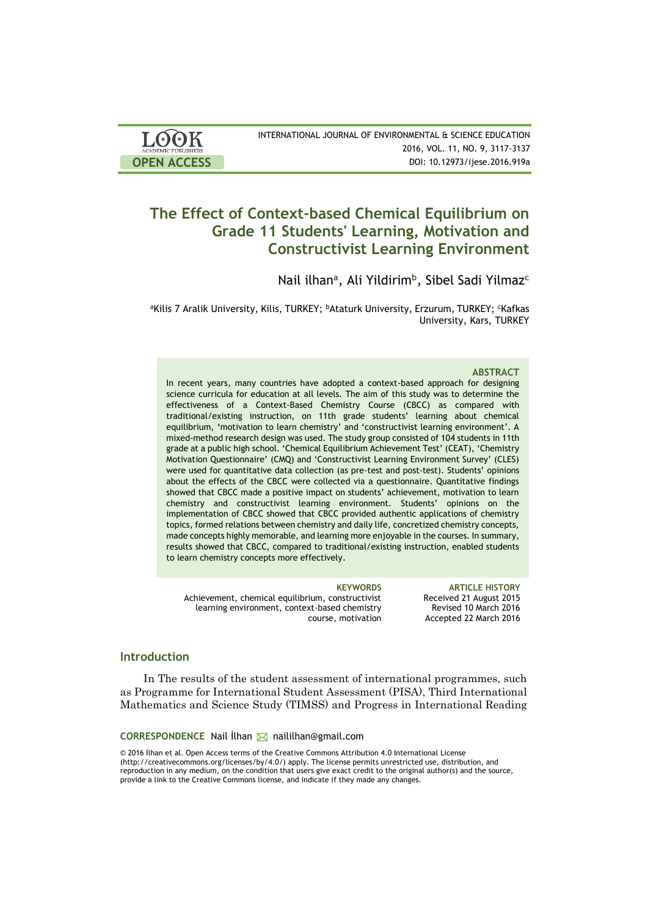| <b>LOOK</b>                | INTERNATIONAL JOURNAL OF ENVIRONMENTAL & SCIENCE EDUCATION |
|----------------------------|------------------------------------------------------------|
| <b>ACADEMIC PUBLISHERS</b> | 2016, VOL. 11, NO. 9, 3117-3137                            |
| <b>OPEN ACCESS</b>         | DOI: 10.12973/ijese.2016.919a                              |

# **The Effect of Context-based Chemical Equilibrium on Grade 11 Students' Learning, Motivation and Constructivist Learning Environment**

Nail ilhan**<sup>a</sup>** , Ali Yildirim**<sup>b</sup>** , Sibel Sadi Yilmaz**<sup>c</sup>**

<sup>a</sup>Kilis 7 Aralik University, Kilis, TURKEY; <sup>b</sup>Ataturk University, Erzurum, TURKEY; <sup>c</sup>Kafkas University, Kars, TURKEY

### **ABSTRACT**

In recent years, many countries have adopted a context-based approach for designing science curricula for education at all levels. The aim of this study was to determine the effectiveness of a Context-Based Chemistry Course (CBCC) as compared with traditional/existing instruction, on 11th grade students' learning about chemical equilibrium, 'motivation to learn chemistry' and 'constructivist learning environment'. A mixed-method research design was used. The study group consisted of 104 students in 11th grade at a public high school. 'Chemical Equilibrium Achievement Test' (CEAT), 'Chemistry Motivation Questionnaire' (CMQ) and 'Constructivist Learning Environment Survey' (CLES) were used for quantitative data collection (as pre-test and post-test). Students' opinions about the effects of the CBCC were collected via a questionnaire. Quantitative findings showed that CBCC made a positive impact on students' achievement, motivation to learn chemistry and constructivist learning environment. Students' opinions on the implementation of CBCC showed that CBCC provided authentic applications of chemistry topics, formed relations between chemistry and daily life, concretized chemistry concepts, made concepts highly memorable, and learning more enjoyable in the courses. In summary, results showed that CBCC, compared to traditional/existing instruction, enabled students to learn chemistry concepts more effectively.

Achievement, chemical equilibrium, constructivist learning environment, context-based chemistry course, motivation

**KEYWORDS ARTICLE HISTORY** Received 21 August 2015 Revised 10 March 2016 Accepted 22 March 2016

### **Introduction**

In The results of the student assessment of international programmes, such as Programme for International Student Assessment (PISA), Third International Mathematics and Science Study (TIMSS) and Progress in International Reading

**CORRESPONDENCE** Nail İlhan M naililhan@gmail.com

© 2016 İlhan et al. Open Access terms of the Creative Commons Attribution 4.0 International License (http://creativecommons.org/licenses/by/4.0/) apply. The license permits unrestricted use, distribution, and reproduction in any medium, on the condition that users give exact credit to the original author(s) and the source, provide a link to the Creative Commons license, and indicate if they made any changes.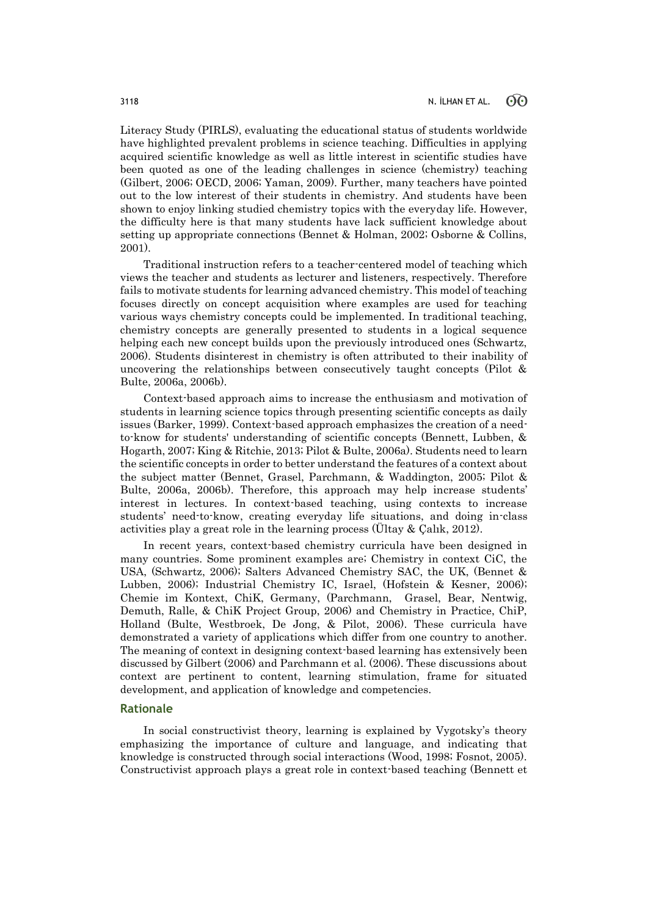Literacy Study (PIRLS), evaluating the educational status of students worldwide have highlighted prevalent problems in science teaching. Difficulties in applying acquired scientific knowledge as well as little interest in scientific studies have been quoted as one of the leading challenges in science (chemistry) teaching (Gilbert, 2006; OECD, 2006; Yaman, 2009). Further, many teachers have pointed out to the low interest of their students in chemistry. And students have been shown to enjoy linking studied chemistry topics with the everyday life. However, the difficulty here is that many students have lack sufficient knowledge about setting up appropriate connections (Bennet & Holman, 2002; Osborne & Collins, 2001).

Traditional instruction refers to a teacher-centered model of teaching which views the teacher and students as lecturer and listeners, respectively. Therefore fails to motivate students for learning advanced chemistry. This model of teaching focuses directly on concept acquisition where examples are used for teaching various ways chemistry concepts could be implemented. In traditional teaching, chemistry concepts are generally presented to students in a logical sequence helping each new concept builds upon the previously introduced ones (Schwartz, 2006). Students disinterest in chemistry is often attributed to their inability of uncovering the relationships between consecutively taught concepts (Pilot & Bulte, 2006a, 2006b).

Context-based approach aims to increase the enthusiasm and motivation of students in learning science topics through presenting scientific concepts as daily issues (Barker, 1999). Context-based approach emphasizes the creation of a needto-know for students' understanding of scientific concepts (Bennett, Lubben, & Hogarth, 2007; King & Ritchie, 2013; Pilot & Bulte, 2006a). Students need to learn the scientific concepts in order to better understand the features of a context about the subject matter (Bennet, Grasel, Parchmann, & Waddington, 2005; Pilot & Bulte, 2006a, 2006b). Therefore, this approach may help increase students' interest in lectures. In context-based teaching, using contexts to increase students' need-to-know, creating everyday life situations, and doing in-class activities play a great role in the learning process (Ültay & Çalık, 2012).

In recent years, context-based chemistry curricula have been designed in many countries. Some prominent examples are; Chemistry in context CiC, the USA, (Schwartz, 2006); Salters Advanced Chemistry SAC, the UK, (Bennet & Lubben, 2006); Industrial Chemistry IC, Israel, (Hofstein & Kesner, 2006); Chemie im Kontext, ChiK, Germany, (Parchmann, Grasel, Bear, Nentwig, Demuth, Ralle, & ChiK Project Group, 2006) and Chemistry in Practice, ChiP, Holland (Bulte, Westbroek, De Jong, & Pilot, 2006). These curricula have demonstrated a variety of applications which differ from one country to another. The meaning of context in designing context-based learning has extensively been discussed by Gilbert (2006) and Parchmann et al. (2006). These discussions about context are pertinent to content, learning stimulation, frame for situated development, and application of knowledge and competencies.

### **Rationale**

In social constructivist theory, learning is explained by Vygotsky's theory emphasizing the importance of culture and language, and indicating that knowledge is constructed through social interactions (Wood, 1998; Fosnot, 2005). Constructivist approach plays a great role in context-based teaching (Bennett et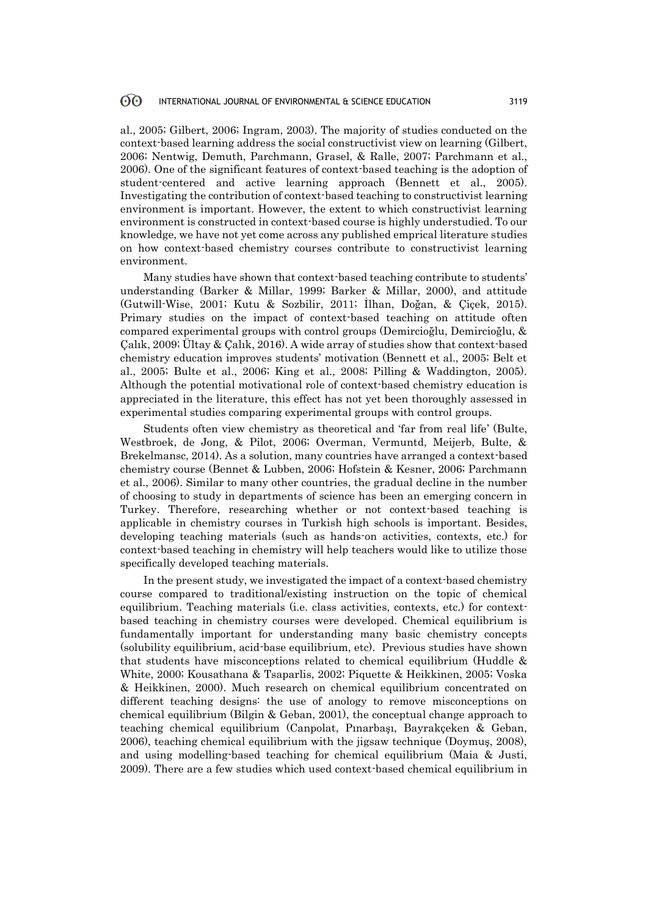al., 2005; Gilbert, 2006; Ingram, 2003). The majority of studies conducted on the context-based learning address the social constructivist view on learning (Gilbert, 2006; Nentwig, Demuth, Parchmann, Grasel, & Ralle, 2007; Parchmann et al., 2006). One of the significant features of context-based teaching is the adoption of student-centered and active learning approach (Bennett et al., 2005). Investigating the contribution of context-based teaching to constructivist learning environment is important. However, the extent to which constructivist learning environment is constructed in context-based course is highly understudied. To our knowledge, we have not yet come across any published emprical literature studies on how context-based chemistry courses contribute to constructivist learning environment.

Many studies have shown that context-based teaching contribute to students' understanding (Barker & Millar, 1999; Barker & Millar, 2000), and attitude (Gutwill-Wise, 2001; Kutu & Sozbilir, 2011; İlhan, Doğan, & Çiçek, 2015). Primary studies on the impact of context-based teaching on attitude often compared experimental groups with control groups (Demircioğlu, Demircioğlu, & Çalık, 2009; Ültay & Çalık, 2016). A wide array of studies show that context-based chemistry education improves students' motivation (Bennett et al., 2005; Belt et al., 2005; Bulte et al., 2006; King et al., 2008; Pilling & Waddington, 2005). Although the potential motivational role of context-based chemistry education is appreciated in the literature, this effect has not yet been thoroughly assessed in experimental studies comparing experimental groups with control groups.

Students often view chemistry as theoretical and 'far from real life' (Bulte, Westbroek, de Jong, & Pilot, 2006; Overman, Vermuntd, Meijerb, Bulte, & Brekelmansc, 2014). As a solution, many countries have arranged a context-based chemistry course (Bennet & Lubben, 2006; Hofstein & Kesner, 2006; Parchmann et al., 2006). Similar to many other countries, the gradual decline in the number of choosing to study in departments of science has been an emerging concern in Turkey. Therefore, researching whether or not context-based teaching is applicable in chemistry courses in Turkish high schools is important. Besides, developing teaching materials (such as hands-on activities, contexts, etc.) for context-based teaching in chemistry will help teachers would like to utilize those specifically developed teaching materials.

In the present study, we investigated the impact of a context-based chemistry course compared to traditional/existing instruction on the topic of chemical equilibrium. Teaching materials (i.e. class activities, contexts, etc.) for contextbased teaching in chemistry courses were developed. Chemical equilibrium is fundamentally important for understanding many basic chemistry concepts (solubility equilibrium, acid-base equilibrium, etc). Previous studies have shown that students have misconceptions related to chemical equilibrium (Huddle & White, 2000; Kousathana & Tsaparlis, 2002; Piquette & Heikkinen, 2005; Voska & Heikkinen, 2000). Much research on chemical equilibrium concentrated on different teaching designs: the use of anology to remove misconceptions on chemical equilibrium (Bilgin & Geban, 2001), the conceptual change approach to teaching chemical equilibrium (Canpolat, Pınarbaşı, Bayrakçeken & Geban, 2006), teaching chemical equilibrium with the jigsaw technique (Doymuş, 2008), and using modelling-based teaching for chemical equilibrium (Maia & Justi, 2009). There are a few studies which used context-based chemical equilibrium in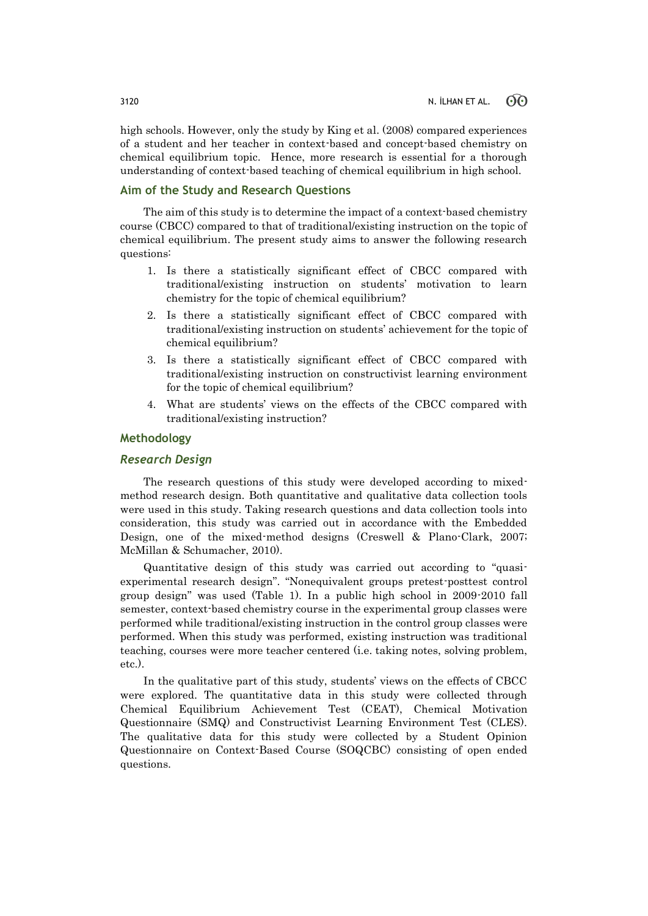high schools. However, only the study by King et al. (2008) compared experiences of a student and her teacher in context-based and concept-based chemistry on chemical equilibrium topic. Hence, more research is essential for a thorough understanding of context-based teaching of chemical equilibrium in high school.

### **Aim of the Study and Research Questions**

The aim of this study is to determine the impact of a context-based chemistry course (CBCC) compared to that of traditional/existing instruction on the topic of chemical equilibrium. The present study aims to answer the following research questions:

- 1. Is there a statistically significant effect of CBCC compared with traditional/existing instruction on students' motivation to learn chemistry for the topic of chemical equilibrium?
- 2. Is there a statistically significant effect of CBCC compared with traditional/existing instruction on students' achievement for the topic of chemical equilibrium?
- 3. Is there a statistically significant effect of CBCC compared with traditional/existing instruction on constructivist learning environment for the topic of chemical equilibrium?
- 4. What are students' views on the effects of the CBCC compared with traditional/existing instruction?

### **Methodology**

### *Research Design*

The research questions of this study were developed according to mixedmethod research design. Both quantitative and qualitative data collection tools were used in this study. Taking research questions and data collection tools into consideration, this study was carried out in accordance with the Embedded Design, one of the mixed-method designs (Creswell & Plano-Clark, 2007; McMillan & Schumacher, 2010).

Quantitative design of this study was carried out according to "quasiexperimental research design". "Nonequivalent groups pretest-posttest control group design" was used (Table 1). In a public high school in 2009-2010 fall semester, context-based chemistry course in the experimental group classes were performed while traditional/existing instruction in the control group classes were performed. When this study was performed, existing instruction was traditional teaching, courses were more teacher centered (i.e. taking notes, solving problem, etc.).

In the qualitative part of this study, students' views on the effects of CBCC were explored. The quantitative data in this study were collected through Chemical Equilibrium Achievement Test (CEAT), Chemical Motivation Questionnaire (SMQ) and Constructivist Learning Environment Test (CLES). The qualitative data for this study were collected by a Student Opinion Questionnaire on Context-Based Course (SOQCBC) consisting of open ended questions.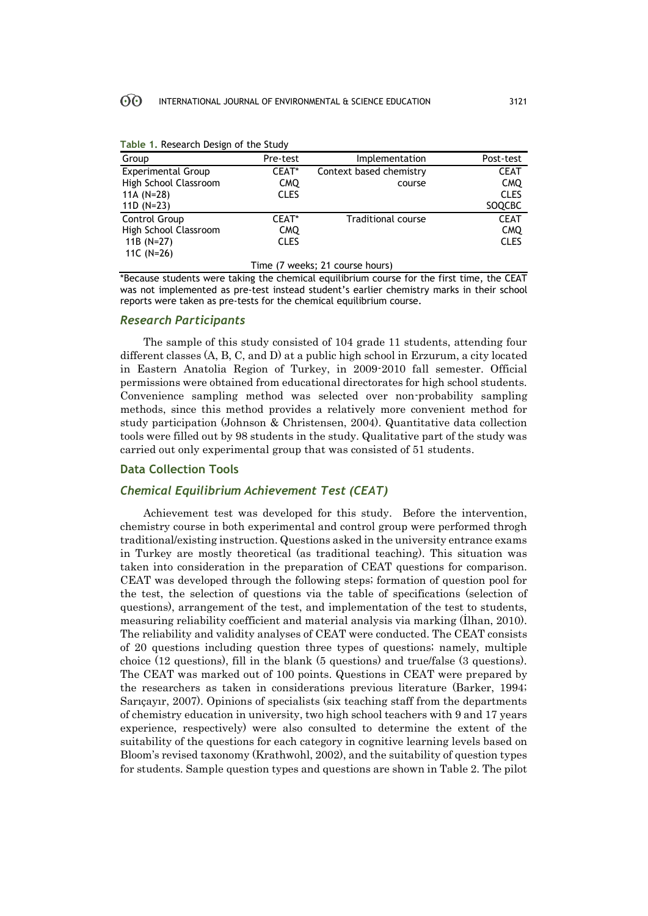| Group                           | Pre-test    | Implementation            | Post-test   |  |  |  |
|---------------------------------|-------------|---------------------------|-------------|--|--|--|
| <b>Experimental Group</b>       | CEAT*       | Context based chemistry   | <b>CEAT</b> |  |  |  |
| High School Classroom           | <b>CMQ</b>  | course                    | <b>CMQ</b>  |  |  |  |
| 11A $(N=28)$                    | <b>CLES</b> |                           | <b>CLES</b> |  |  |  |
| 11D $(N=23)$                    |             |                           | SOQCBC      |  |  |  |
| Control Group                   | CEAT*       | <b>Traditional course</b> | <b>CEAT</b> |  |  |  |
| High School Classroom           | CMQ.        |                           | <b>CMQ</b>  |  |  |  |
| 11B $(N=27)$                    | <b>CLES</b> |                           | <b>CLES</b> |  |  |  |
| 11C $(N=26)$                    |             |                           |             |  |  |  |
| Time (7 weeks; 21 course hours) |             |                           |             |  |  |  |

| Table 1. Research Design of the Study |  |  |  |  |  |  |  |
|---------------------------------------|--|--|--|--|--|--|--|
|---------------------------------------|--|--|--|--|--|--|--|

\*Because students were taking the chemical equilibrium course for the first time, the CEAT was not implemented as pre-test instead student's earlier chemistry marks in their school reports were taken as pre-tests for the chemical equilibrium course.

# *Research Participants*

The sample of this study consisted of 104 grade 11 students, attending four different classes (A, B, C, and D) at a public high school in Erzurum, a city located in Eastern Anatolia Region of Turkey, in 2009-2010 fall semester. Official permissions were obtained from educational directorates for high school students. Convenience sampling method was selected over non-probability sampling methods, since this method provides a relatively more convenient method for study participation (Johnson & Christensen, 2004). Quantitative data collection tools were filled out by 98 students in the study. Qualitative part of the study was carried out only experimental group that was consisted of 51 students.

### **Data Collection Tools**

### *Chemical Equilibrium Achievement Test (CEAT)*

Achievement test was developed for this study. Before the intervention, chemistry course in both experimental and control group were performed throgh traditional/existing instruction. Questions asked in the university entrance exams in Turkey are mostly theoretical (as traditional teaching). This situation was taken into consideration in the preparation of CEAT questions for comparison. CEAT was developed through the following steps; formation of question pool for the test, the selection of questions via the table of specifications (selection of questions), arrangement of the test, and implementation of the test to students, measuring reliability coefficient and material analysis via marking (İlhan, 2010). The reliability and validity analyses of CEAT were conducted. The CEAT consists of 20 questions including question three types of questions; namely, multiple choice (12 questions), fill in the blank (5 questions) and true/false (3 questions). The CEAT was marked out of 100 points. Questions in CEAT were prepared by the researchers as taken in considerations previous literature (Barker, 1994; Sarıçayır, 2007). Opinions of specialists (six teaching staff from the departments of chemistry education in university, two high school teachers with 9 and 17 years experience, respectively) were also consulted to determine the extent of the suitability of the questions for each category in cognitive learning levels based on Bloom's revised taxonomy (Krathwohl, 2002), and the suitability of question types for students. Sample question types and questions are shown in Table 2. The pilot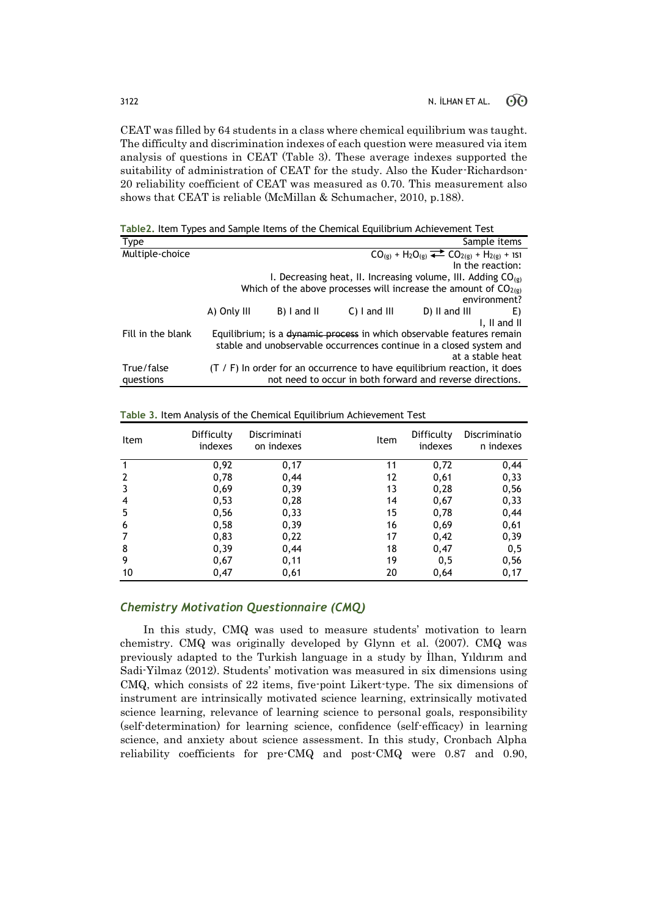CEAT was filled by 64 students in a class where chemical equilibrium was taught. The difficulty and discrimination indexes of each question were measured via item analysis of questions in CEAT (Table 3). These average indexes supported the suitability of administration of CEAT for the study. Also the Kuder-Richardson-20 reliability coefficient of CEAT was measured as 0.70. This measurement also shows that CEAT is reliable (McMillan & Schumacher, 2010, p.188).

**Table2.** Item Types and Sample Items of the Chemical Equilibrium Achievement Test

| Type              |             |             |                 |                                                                            | Sample items                                   |
|-------------------|-------------|-------------|-----------------|----------------------------------------------------------------------------|------------------------------------------------|
| Multiple-choice   |             |             |                 | $CO_{(g)} + H_2O_{(g)} \rightleftharpoons CO_{2(g)} + H_{2(g)} + 151$      |                                                |
|                   |             |             |                 | In the reaction:                                                           |                                                |
|                   |             |             |                 | I. Decreasing heat, II. Increasing volume, III. Adding $CO_{(g)}$          |                                                |
|                   |             |             |                 | Which of the above processes will increase the amount of $CO2(g)$          |                                                |
|                   |             |             |                 |                                                                            | environment?                                   |
|                   | A) Only III | B) I and II | $C$ ) I and III | D) II and III                                                              | E)                                             |
|                   |             |             |                 |                                                                            | $\mathsf{I}$ , $\mathsf{II}$ and $\mathsf{II}$ |
| Fill in the blank |             |             |                 | Equilibrium; is a dynamic process in which observable features remain      |                                                |
|                   |             |             |                 | stable and unobservable occurrences continue in a closed system and        |                                                |
|                   |             |             |                 | at a stable heat                                                           |                                                |
| True/false        |             |             |                 | $(T / F)$ In order for an occurrence to have equilibrium reaction, it does |                                                |
| questions         |             |             |                 | not need to occur in both forward and reverse directions.                  |                                                |

| Item | Difficulty<br>indexes | Discriminati<br>on indexes | Item | Difficulty<br>indexes | Discriminatio<br>n indexes |
|------|-----------------------|----------------------------|------|-----------------------|----------------------------|
|      | 0,92                  | 0,17                       | 11   | 0,72                  | 0,44                       |
| 2    | 0,78                  | 0,44                       | 12   | 0,61                  | 0,33                       |
|      | 0,69                  | 0, 39                      | 13   | 0,28                  | 0,56                       |
| 4    | 0,53                  | 0,28                       | 14   | 0,67                  | 0,33                       |
| 5    | 0,56                  | 0,33                       | 15   | 0,78                  | 0,44                       |
| 6    | 0,58                  | 0, 39                      | 16   | 0,69                  | 0,61                       |
|      | 0,83                  | 0,22                       | 17   | 0,42                  | 0,39                       |
| 8    | 0, 39                 | 0,44                       | 18   | 0,47                  | 0,5                        |
| 9    | 0,67                  | 0,11                       | 19   | 0,5                   | 0,56                       |
| 10   | 0,47                  | 0,61                       | 20   | 0,64                  | 0,17                       |

**Table 3.** Item Analysis of the Chemical Equilibrium Achievement Test

# *Chemistry Motivation Questionnaire (CMQ)*

In this study, CMQ was used to measure students' motivation to learn chemistry. CMQ was originally developed by Glynn et al. (2007). CMQ was previously adapted to the Turkish language in a study by İlhan, Yıldırım and Sadi-Yilmaz (2012). Students' motivation was measured in six dimensions using CMQ, which consists of 22 items, five-point Likert-type. The six dimensions of instrument are intrinsically motivated science learning, extrinsically motivated science learning, relevance of learning science to personal goals, responsibility (self-determination) for learning science, confidence (self-efficacy) in learning science, and anxiety about science assessment. In this study, Cronbach Alpha reliability coefficients for pre-CMQ and post-CMQ were 0.87 and 0.90,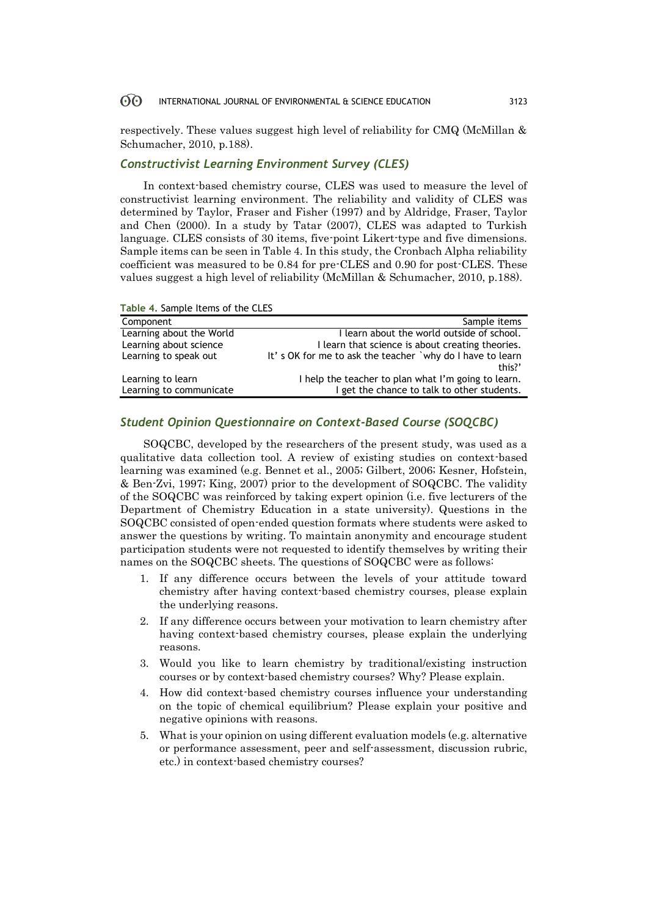respectively. These values suggest high level of reliability for CMQ (McMillan & Schumacher, 2010, p.188).

# *Constructivist Learning Environment Survey (CLES)*

In context-based chemistry course, CLES was used to measure the level of constructivist learning environment. The reliability and validity of CLES was determined by Taylor, Fraser and Fisher (1997) and by Aldridge, Fraser, Taylor and Chen (2000). In a study by Tatar (2007), CLES was adapted to Turkish language. CLES consists of 30 items, five-point Likert-type and five dimensions. Sample items can be seen in Table 4. In this study, the Cronbach Alpha reliability coefficient was measured to be 0.84 for pre-CLES and 0.90 for post-CLES. These values suggest a high level of reliability (McMillan & Schumacher, 2010, p.188).

| $1.4913$ $1.94111910$ $1.01113$ $0.1$ $0.10$ $0.0001$ |                                                           |
|-------------------------------------------------------|-----------------------------------------------------------|
| Component                                             | Sample items                                              |
| Learning about the World                              | I learn about the world outside of school.                |
| Learning about science                                | I learn that science is about creating theories.          |
| Learning to speak out                                 | It's OK for me to ask the teacher `why do I have to learn |
|                                                       | this?'                                                    |
| Learning to learn                                     | I help the teacher to plan what I'm going to learn.       |
| Learning to communicate                               | I get the chance to talk to other students.               |
|                                                       |                                                           |

# **Table 4.** Sample Items of the CLES

# *Student Opinion Questionnaire on Context-Based Course (SOQCBC)*

SOQCBC, developed by the researchers of the present study, was used as a qualitative data collection tool. A review of existing studies on context-based learning was examined (e.g. Bennet et al., 2005; Gilbert, 2006; Kesner, Hofstein, & Ben-Zvi, 1997; King, 2007) prior to the development of SOQCBC. The validity of the SOQCBC was reinforced by taking expert opinion (i.e. five lecturers of the Department of Chemistry Education in a state university). Questions in the SOQCBC consisted of open-ended question formats where students were asked to answer the questions by writing. To maintain anonymity and encourage student participation students were not requested to identify themselves by writing their names on the SOQCBC sheets. The questions of SOQCBC were as follows:

- 1. If any difference occurs between the levels of your attitude toward chemistry after having context-based chemistry courses, please explain the underlying reasons.
- 2. If any difference occurs between your motivation to learn chemistry after having context-based chemistry courses, please explain the underlying reasons.
- 3. Would you like to learn chemistry by traditional/existing instruction courses or by context-based chemistry courses? Why? Please explain.
- 4. How did context-based chemistry courses influence your understanding on the topic of chemical equilibrium? Please explain your positive and negative opinions with reasons.
- 5. What is your opinion on using different evaluation models (e.g. alternative or performance assessment, peer and self-assessment, discussion rubric, etc.) in context-based chemistry courses?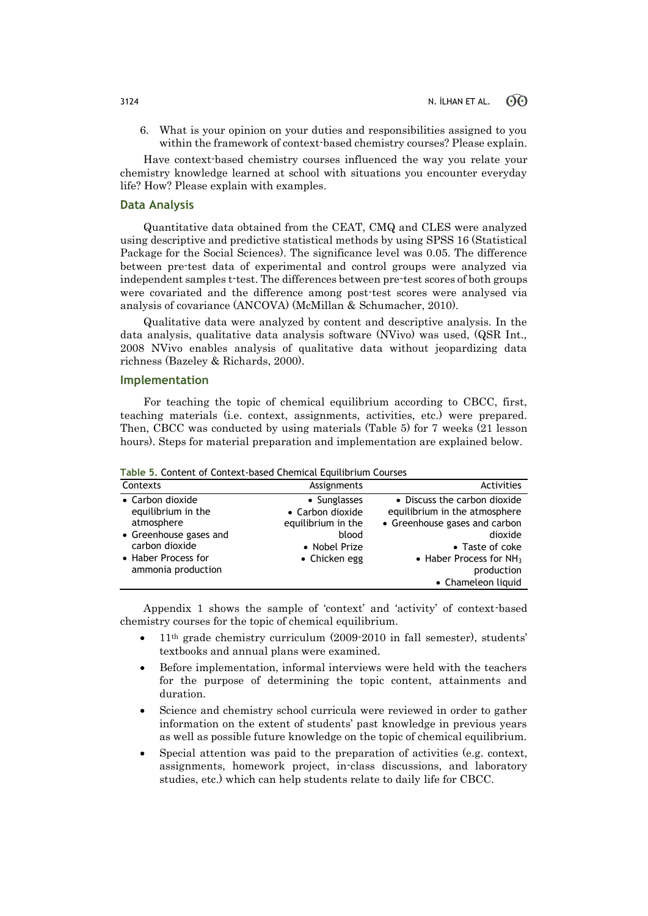6. What is your opinion on your duties and responsibilities assigned to you within the framework of context-based chemistry courses? Please explain.

Have context-based chemistry courses influenced the way you relate your chemistry knowledge learned at school with situations you encounter everyday life? How? Please explain with examples.

### **Data Analysis**

Quantitative data obtained from the CEAT, CMQ and CLES were analyzed using descriptive and predictive statistical methods by using SPSS 16 (Statistical Package for the Social Sciences). The significance level was 0.05. The difference between pre-test data of experimental and control groups were analyzed via independent samples t-test. The differences between pre-test scores of both groups were covariated and the difference among post-test scores were analysed via analysis of covariance (ANCOVA) (McMillan & Schumacher, 2010).

Qualitative data were analyzed by content and descriptive analysis. In the data analysis, qualitative data analysis software (NVivo) was used, (QSR Int., 2008 NVivo enables analysis of qualitative data without jeopardizing data richness (Bazeley & Richards, 2000).

### **Implementation**

For teaching the topic of chemical equilibrium according to CBCC, first, teaching materials (i.e. context, assignments, activities, etc.) were prepared. Then, CBCC was conducted by using materials (Table 5) for 7 weeks (21 lesson hours). Steps for material preparation and implementation are explained below.

| Table 5, Content of Context Dasca Chemical Equitibilian Codiscs |                                                        |                                                                                                |  |  |  |  |  |
|-----------------------------------------------------------------|--------------------------------------------------------|------------------------------------------------------------------------------------------------|--|--|--|--|--|
| Contexts                                                        | Assignments                                            | Activities                                                                                     |  |  |  |  |  |
| • Carbon dioxide<br>equilibrium in the<br>atmosphere            | • Sunglasses<br>• Carbon dioxide<br>equilibrium in the | • Discuss the carbon dioxide<br>equilibrium in the atmosphere<br>• Greenhouse gases and carbon |  |  |  |  |  |
| • Greenhouse gases and<br>carbon dioxide<br>• Haber Process for | blood<br>• Nobel Prize                                 | dioxide<br>• Taste of coke                                                                     |  |  |  |  |  |
| ammonia production                                              | $\bullet$ Chicken egg                                  | • Haber Process for $NH3$<br>production<br>• Chameleon liquid                                  |  |  |  |  |  |

**Table 5.** Content of Context-based Chemical Equilibrium Courses

Appendix 1 shows the sample of 'context' and 'activity' of context-based chemistry courses for the topic of chemical equilibrium.

- $\bullet$  11<sup>th</sup> grade chemistry curriculum (2009-2010 in fall semester), students' textbooks and annual plans were examined.
- Before implementation, informal interviews were held with the teachers for the purpose of determining the topic content, attainments and duration.
- Science and chemistry school curricula were reviewed in order to gather information on the extent of students' past knowledge in previous years as well as possible future knowledge on the topic of chemical equilibrium.
- Special attention was paid to the preparation of activities (e.g. context, assignments, homework project, in-class discussions, and laboratory studies, etc.) which can help students relate to daily life for CBCC.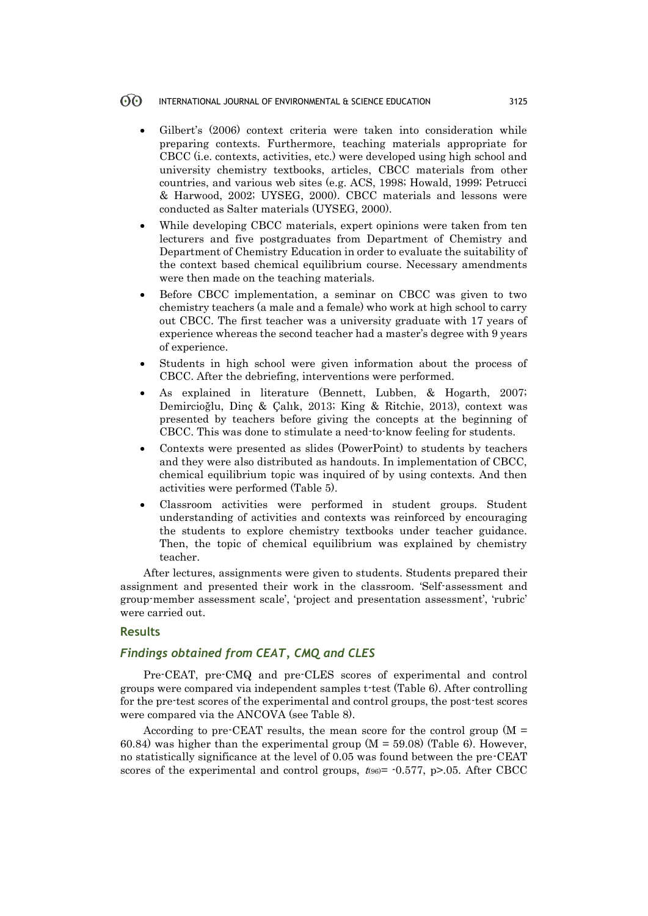- Gilbert's (2006) context criteria were taken into consideration while preparing contexts. Furthermore, teaching materials appropriate for CBCC (i.e. contexts, activities, etc.) were developed using high school and university chemistry textbooks, articles, CBCC materials from other countries, and various web sites (e.g. ACS, 1998; Howald, 1999; Petrucci & Harwood, 2002; UYSEG, 2000). CBCC materials and lessons were conducted as Salter materials (UYSEG, 2000).
- While developing CBCC materials, expert opinions were taken from ten lecturers and five postgraduates from Department of Chemistry and Department of Chemistry Education in order to evaluate the suitability of the context based chemical equilibrium course. Necessary amendments were then made on the teaching materials.
- Before CBCC implementation, a seminar on CBCC was given to two chemistry teachers (a male and a female) who work at high school to carry out CBCC. The first teacher was a university graduate with 17 years of experience whereas the second teacher had a master's degree with 9 years of experience.
- Students in high school were given information about the process of CBCC. After the debriefing, interventions were performed.
- As explained in literature (Bennett, Lubben, & Hogarth, 2007; Demircioğlu, Dinç & Çalık, 2013; King & Ritchie, 2013), context was presented by teachers before giving the concepts at the beginning of CBCC. This was done to stimulate a need-to-know feeling for students.
- Contexts were presented as slides (PowerPoint) to students by teachers and they were also distributed as handouts. In implementation of CBCC, chemical equilibrium topic was inquired of by using contexts. And then activities were performed (Table 5).
- Classroom activities were performed in student groups. Student understanding of activities and contexts was reinforced by encouraging the students to explore chemistry textbooks under teacher guidance. Then, the topic of chemical equilibrium was explained by chemistry teacher.

After lectures, assignments were given to students. Students prepared their assignment and presented their work in the classroom. 'Self-assessment and group-member assessment scale', 'project and presentation assessment', 'rubric' were carried out.

### **Results**

# *Findings obtained from CEAT, CMQ and CLES*

Pre-CEAT, pre-CMQ and pre-CLES scores of experimental and control groups were compared via independent samples t-test (Table 6). After controlling for the pre-test scores of the experimental and control groups, the post-test scores were compared via the ANCOVA (see Table 8).

According to pre-CEAT results, the mean score for the control group  $(M =$ 60.84) was higher than the experimental group  $(M = 59.08)$  (Table 6). However, no statistically significance at the level of 0.05 was found between the pre-CEAT scores of the experimental and control groups,  $t_{96}$  = -0.577, p>.05. After CBCC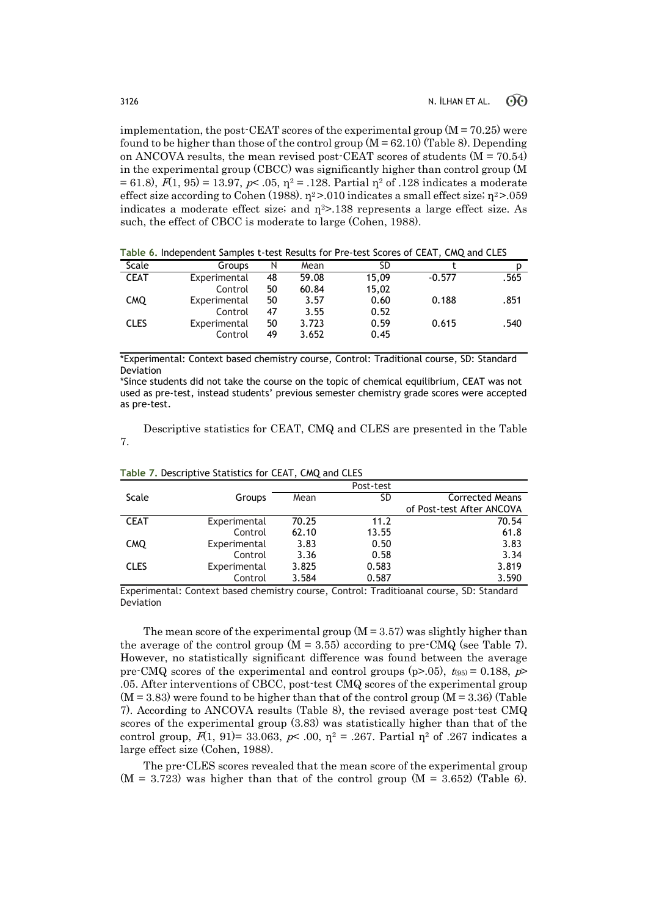implementation, the post-CEAT scores of the experimental group  $(M = 70.25)$  were found to be higher than those of the control group  $(M = 62.10)$  (Table 8). Depending on ANCOVA results, the mean revised post-CEAT scores of students (M = 70.54) in the experimental group (CBCC) was significantly higher than control group (M = 61.8),  $F(1, 95) = 13.97$ ,  $p \le 0.05$ ,  $p^2 = 0.128$ . Partial  $p^2$  of 0.128 indicates a moderate effect size according to Cohen (1988).  $\eta^2$  >.010 indicates a small effect size;  $\eta^2$  >.059 indicates a moderate effect size; and  $\eta^2$ >.138 represents a large effect size. As such, the effect of CBCC is moderate to large (Cohen, 1988).

| Scale       | Groups       | Ν  | Mean  | SD    |          |      |
|-------------|--------------|----|-------|-------|----------|------|
| <b>CEAT</b> | Experimental | 48 | 59.08 | 15,09 | $-0.577$ | .565 |
|             | Control      | 50 | 60.84 | 15,02 |          |      |
| <b>CMQ</b>  | Experimental | 50 | 3.57  | 0.60  | 0.188    | .851 |
|             | Control      | 47 | 3.55  | 0.52  |          |      |
| <b>CLES</b> | Experimental | 50 | 3.723 | 0.59  | 0.615    | .540 |
|             | Control      | 49 | 3.652 | 0.45  |          |      |
|             |              |    |       |       |          |      |

**Table 6.** Independent Samples t-test Results for Pre-test Scores of CEAT, CMQ and CLES

\*Experimental: Context based chemistry course, Control: Traditional course, SD: Standard Deviation

\*Since students did not take the course on the topic of chemical equilibrium, CEAT was not used as pre-test, instead students' previous semester chemistry grade scores were accepted as pre-test.

Descriptive statistics for CEAT, CMQ and CLES are presented in the Table 7.

|             |              |       | Post-test |                           |
|-------------|--------------|-------|-----------|---------------------------|
| Scale       | Groups       | Mean  | SD        | <b>Corrected Means</b>    |
|             |              |       |           | of Post-test After ANCOVA |
| <b>CEAT</b> | Experimental | 70.25 | 11.2      | 70.54                     |
|             | Control      | 62.10 | 13.55     | 61.8                      |
| <b>CMQ</b>  | Experimental | 3.83  | 0.50      | 3.83                      |
|             | Control      | 3.36  | 0.58      | 3.34                      |
| <b>CLES</b> | Experimental | 3.825 | 0.583     | 3.819                     |
|             | Control      | 3.584 | 0.587     | 3.590                     |

**Table 7.** Descriptive Statistics for CEAT, CMQ and CLES

Experimental: Context based chemistry course, Control: Traditioanal course, SD: Standard Deviation

The mean score of the experimental group  $(M = 3.57)$  was slightly higher than the average of the control group  $(M = 3.55)$  according to pre-CMQ (see Table 7). However, no statistically significant difference was found between the average pre-CMQ scores of the experimental and control groups (p>.05),  $t_{(95)} = 0.188$ , p> .05. After interventions of CBCC, post-test CMQ scores of the experimental group  $(M = 3.83)$  were found to be higher than that of the control group  $(M = 3.36)$  (Table 7). According to ANCOVA results (Table 8), the revised average post-test CMQ scores of the experimental group (3.83) was statistically higher than that of the control group,  $F(1, 91) = 33.063$ ,  $p \le 0.00$ ,  $p^2 = 0.267$ . Partial  $p^2$  of 0.267 indicates a large effect size (Cohen, 1988).

The pre-CLES scores revealed that the mean score of the experimental group  $(M = 3.723)$  was higher than that of the control group  $(M = 3.652)$  (Table 6).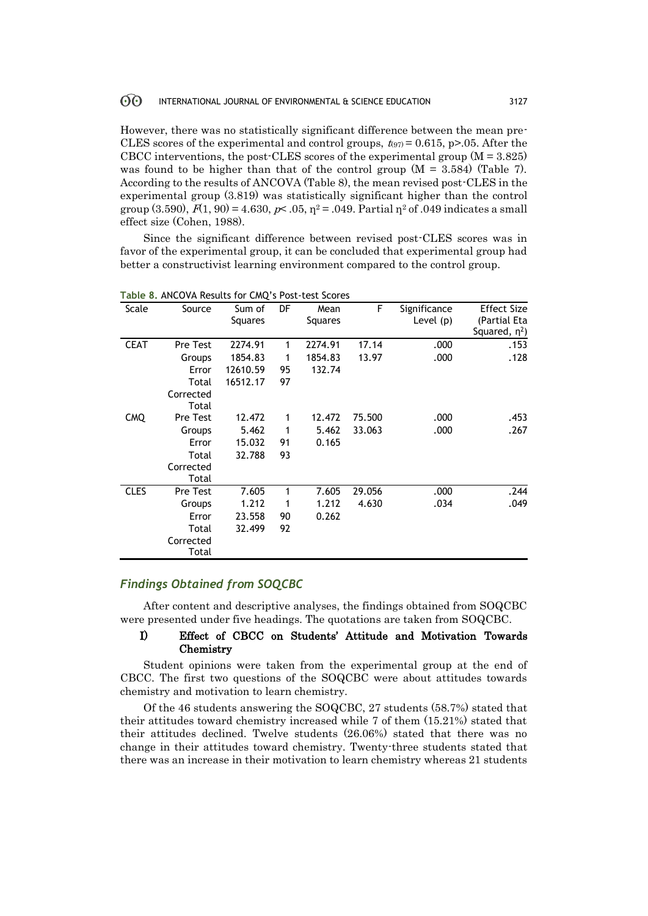However, there was no statistically significant difference between the mean pre-CLES scores of the experimental and control groups,  $t_{.97} = 0.615$ , p>,05. After the CBCC interventions, the post-CLES scores of the experimental group  $(M = 3.825)$ was found to be higher than that of the control group  $(M = 3.584)$  (Table 7). According to the results of ANCOVA (Table 8), the mean revised post-CLES in the experimental group (3.819) was statistically significant higher than the control group (3.590),  $F(1, 90) = 4.630$ ,  $p \lt 0.05$ ,  $\eta^2 = 0.049$ . Partial  $\eta^2$  of 0.49 indicates a small effect size (Cohen, 1988).

Since the significant difference between revised post-CLES scores was in favor of the experimental group, it can be concluded that experimental group had better a constructivist learning environment compared to the control group.

| Scale       | Source             | Sum of<br>Squares | DF | Mean<br>Squares | F.     | Significance<br>Level (p) | <b>Effect Size</b><br>(Partial Eta |
|-------------|--------------------|-------------------|----|-----------------|--------|---------------------------|------------------------------------|
|             |                    |                   |    |                 |        |                           | Squared, $\eta^2$ )                |
| <b>CEAT</b> | <b>Pre Test</b>    | 2274.91           | 1  | 2274.91         | 17.14  | .000                      | .153                               |
|             | Groups             | 1854.83           | 1  | 1854.83         | 13.97  | .000                      | .128                               |
|             | Error              | 12610.59          | 95 | 132.74          |        |                           |                                    |
|             | Total              | 16512.17          | 97 |                 |        |                           |                                    |
|             | Corrected<br>Total |                   |    |                 |        |                           |                                    |
| <b>CMQ</b>  | <b>Pre Test</b>    | 12.472            | 1  | 12.472          | 75.500 | .000                      | .453                               |
|             | Groups             | 5.462             | 1  | 5.462           | 33.063 | .000                      | .267                               |
|             | Error              | 15.032            | 91 | 0.165           |        |                           |                                    |
|             | Total              | 32.788            | 93 |                 |        |                           |                                    |
|             | Corrected          |                   |    |                 |        |                           |                                    |
|             | Total              |                   |    |                 |        |                           |                                    |
| <b>CLES</b> | <b>Pre Test</b>    | 7.605             | 1  | 7.605           | 29.056 | .000                      | .244                               |
|             | Groups             | 1.212             | 1  | 1.212           | 4.630  | .034                      | .049                               |
|             | Error              | 23.558            | 90 | 0.262           |        |                           |                                    |
|             | Total              | 32.499            | 92 |                 |        |                           |                                    |
|             | Corrected<br>Total |                   |    |                 |        |                           |                                    |

**Table 8.** ANCOVA Results for CMQ's Post-test Scores

# *Findings Obtained from SOQCBC*

After content and descriptive analyses, the findings obtained from SOQCBC were presented under five headings. The quotations are taken from SOQCBC.

# I) Effect of CBCC on Students' Attitude and Motivation Towards Chemistry

Student opinions were taken from the experimental group at the end of CBCC. The first two questions of the SOQCBC were about attitudes towards chemistry and motivation to learn chemistry.

Of the 46 students answering the SOQCBC, 27 students (58.7%) stated that their attitudes toward chemistry increased while 7 of them (15.21%) stated that their attitudes declined. Twelve students (26.06%) stated that there was no change in their attitudes toward chemistry. Twenty-three students stated that there was an increase in their motivation to learn chemistry whereas 21 students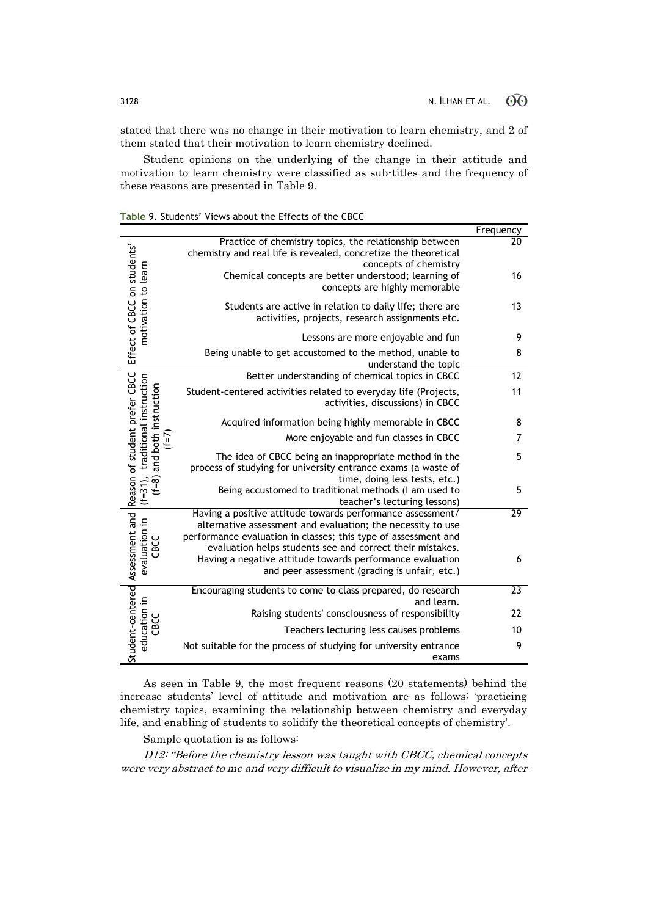stated that there was no change in their motivation to learn chemistry, and 2 of them stated that their motivation to learn chemistry declined.

Student opinions on the underlying of the change in their attitude and motivation to learn chemistry were classified as sub-titles and the frequency of these reasons are presented in Table 9.

| Table 9. Students' Views about the Effects of the CBCC |  |  |  |
|--------------------------------------------------------|--|--|--|
|--------------------------------------------------------|--|--|--|

|                                                          |                                                                                                                                                                                                                                                          | Frequency       |
|----------------------------------------------------------|----------------------------------------------------------------------------------------------------------------------------------------------------------------------------------------------------------------------------------------------------------|-----------------|
|                                                          | Practice of chemistry topics, the relationship between<br>chemistry and real life is revealed, concretize the theoretical<br>concepts of chemistry                                                                                                       | 20              |
|                                                          | Chemical concepts are better understood; learning of<br>concepts are highly memorable                                                                                                                                                                    | 16              |
| Effect of CBCC on students'<br>motivation to learn       | Students are active in relation to daily life; there are<br>activities, projects, research assignments etc.                                                                                                                                              | 13              |
|                                                          | Lessons are more enjoyable and fun                                                                                                                                                                                                                       | 9               |
|                                                          | Being unable to get accustomed to the method, unable to<br>understand the topic                                                                                                                                                                          | 8               |
|                                                          | Better understanding of chemical topics in CBCC                                                                                                                                                                                                          | 12              |
| traditional instruction<br>and both instruction          | Student-centered activities related to everyday life (Projects,<br>activities, discussions) in CBCC                                                                                                                                                      | 11              |
|                                                          | Acquired information being highly memorable in CBCC                                                                                                                                                                                                      | 8               |
| $(1=1)$                                                  | More enjoyable and fun classes in CBCC                                                                                                                                                                                                                   | 7               |
| Reason of student prefer CBCC                            | The idea of CBCC being an inappropriate method in the<br>process of studying for university entrance exams (a waste of<br>time, doing less tests, etc.)                                                                                                  | 5               |
| $(f=31),$<br>$(1-8)$                                     | Being accustomed to traditional methods (I am used to<br>teacher's lecturing lessons)                                                                                                                                                                    | 5               |
| Student-centered Assessment and<br>evaluation in<br>CBCC | Having a positive attitude towards performance assessment/<br>alternative assessment and evaluation; the necessity to use<br>performance evaluation in classes; this type of assessment and<br>evaluation helps students see and correct their mistakes. | 29              |
|                                                          | Having a negative attitude towards performance evaluation<br>and peer assessment (grading is unfair, etc.)                                                                                                                                               | 6               |
|                                                          | Encouraging students to come to class prepared, do research<br>and learn.                                                                                                                                                                                | $\overline{23}$ |
|                                                          | Raising students' consciousness of responsibility                                                                                                                                                                                                        | 22              |
| education in<br>CBCC                                     | Teachers lecturing less causes problems                                                                                                                                                                                                                  | 10              |
|                                                          | Not suitable for the process of studying for university entrance<br>exams                                                                                                                                                                                | 9               |

As seen in Table 9, the most frequent reasons (20 statements) behind the increase students' level of attitude and motivation are as follows: 'practicing chemistry topics, examining the relationship between chemistry and everyday life, and enabling of students to solidify the theoretical concepts of chemistry'.

Sample quotation is as follows:

D12: "Before the chemistry lesson was taught with CBCC, chemical concepts were very abstract to me and very difficult to visualize in my mind. However, after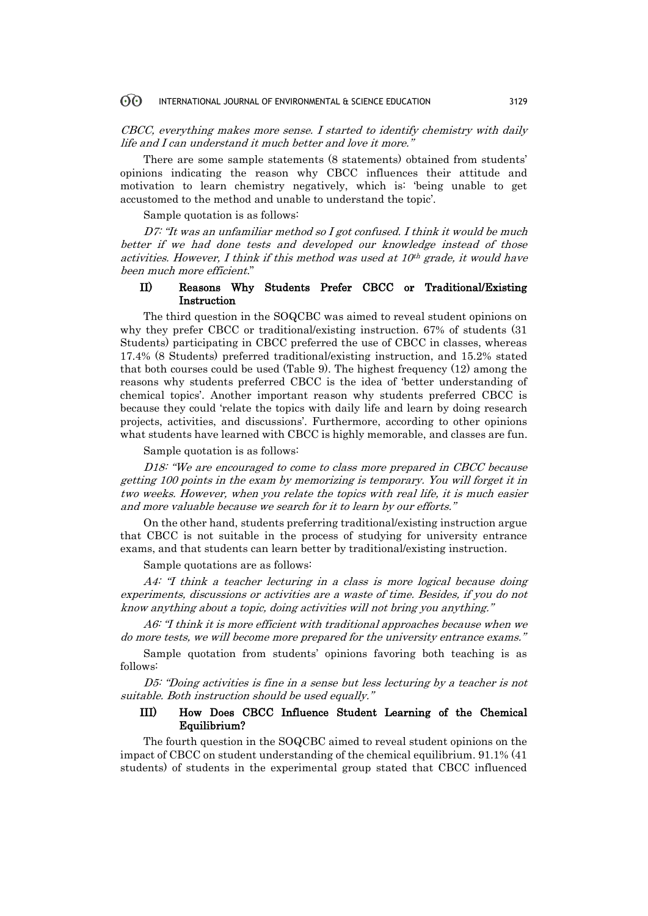CBCC, everything makes more sense. I started to identify chemistry with daily life and I can understand it much better and love it more."

There are some sample statements (8 statements) obtained from students' opinions indicating the reason why CBCC influences their attitude and motivation to learn chemistry negatively, which is: 'being unable to get accustomed to the method and unable to understand the topic'.

Sample quotation is as follows:

D7: "It was an unfamiliar method so I got confused. I think it would be much better if we had done tests and developed our knowledge instead of those activities. However, I think if this method was used at  $10<sup>th</sup>$  grade, it would have been much more efficient."

### II) Reasons Why Students Prefer CBCC or Traditional/Existing Instruction

The third question in the SOQCBC was aimed to reveal student opinions on why they prefer CBCC or traditional/existing instruction. 67% of students (31 Students) participating in CBCC preferred the use of CBCC in classes, whereas 17.4% (8 Students) preferred traditional/existing instruction, and 15.2% stated that both courses could be used (Table 9). The highest frequency (12) among the reasons why students preferred CBCC is the idea of 'better understanding of chemical topics'. Another important reason why students preferred CBCC is because they could 'relate the topics with daily life and learn by doing research projects, activities, and discussions'. Furthermore, according to other opinions what students have learned with CBCC is highly memorable, and classes are fun.

Sample quotation is as follows:

D18: "We are encouraged to come to class more prepared in CBCC because getting 100 points in the exam by memorizing is temporary. You will forget it in two weeks. However, when you relate the topics with real life, it is much easier and more valuable because we search for it to learn by our efforts."

On the other hand, students preferring traditional/existing instruction argue that CBCC is not suitable in the process of studying for university entrance exams, and that students can learn better by traditional/existing instruction.

Sample quotations are as follows:

A4: "I think a teacher lecturing in a class is more logical because doing experiments, discussions or activities are a waste of time. Besides, if you do not know anything about a topic, doing activities will not bring you anything."

A6: "I think it is more efficient with traditional approaches because when we do more tests, we will become more prepared for the university entrance exams."

Sample quotation from students' opinions favoring both teaching is as follows:

D5: "Doing activities is fine in a sense but less lecturing by a teacher is not suitable. Both instruction should be used equally."

# III) How Does CBCC Influence Student Learning of the Chemical Equilibrium?

The fourth question in the SOQCBC aimed to reveal student opinions on the impact of CBCC on student understanding of the chemical equilibrium. 91.1% (41 students) of students in the experimental group stated that CBCC influenced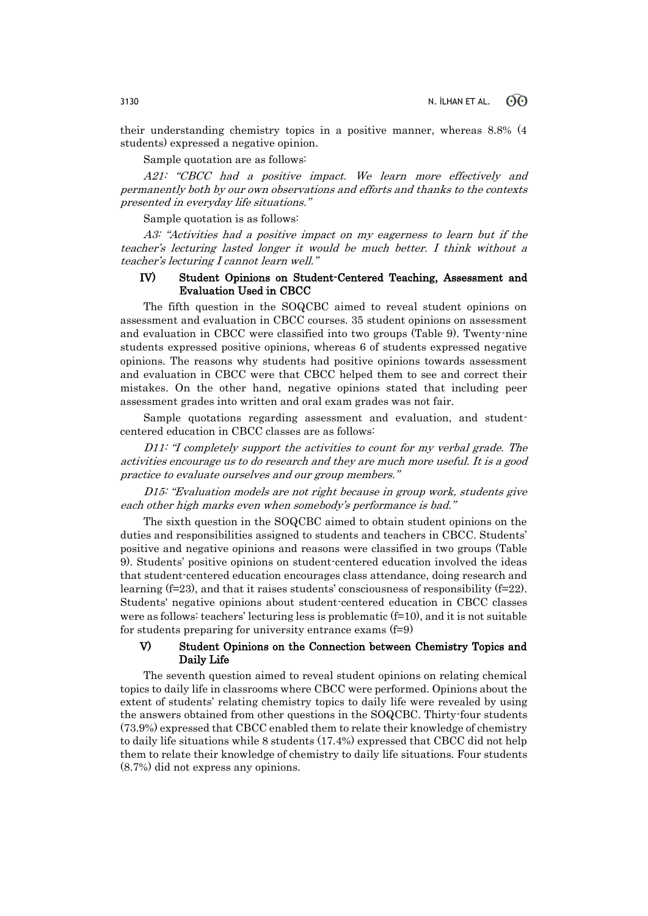their understanding chemistry topics in a positive manner, whereas 8.8% (4 students) expressed a negative opinion.

Sample quotation are as follows:

A21: "CBCC had a positive impact. We learn more effectively and permanently both by our own observations and efforts and thanks to the contexts presented in everyday life situations."

Sample quotation is as follows:

A3: "Activities had a positive impact on my eagerness to learn but if the teacher's lecturing lasted longer it would be much better. I think without a teacher's lecturing I cannot learn well."

### IV) Student Opinions on Student-Centered Teaching, Assessment and Evaluation Used in CBCC

The fifth question in the SOQCBC aimed to reveal student opinions on assessment and evaluation in CBCC courses. 35 student opinions on assessment and evaluation in CBCC were classified into two groups (Table 9). Twenty-nine students expressed positive opinions, whereas 6 of students expressed negative opinions. The reasons why students had positive opinions towards assessment and evaluation in CBCC were that CBCC helped them to see and correct their mistakes. On the other hand, negative opinions stated that including peer assessment grades into written and oral exam grades was not fair.

Sample quotations regarding assessment and evaluation, and studentcentered education in CBCC classes are as follows:

D11: "I completely support the activities to count for my verbal grade. The activities encourage us to do research and they are much more useful. It is a good practice to evaluate ourselves and our group members."

D15: "Evaluation models are not right because in group work, students give each other high marks even when somebody's performance is bad."

The sixth question in the SOQCBC aimed to obtain student opinions on the duties and responsibilities assigned to students and teachers in CBCC. Students' positive and negative opinions and reasons were classified in two groups (Table 9). Students' positive opinions on student-centered education involved the ideas that student-centered education encourages class attendance, doing research and learning  $(f=23)$ , and that it raises students' consciousness of responsibility  $(f=22)$ . Students' negative opinions about student-centered education in CBCC classes were as follows: teachers' lecturing less is problematic  $(f=10)$ , and it is not suitable for students preparing for university entrance exams (f=9)

# V) Student Opinions on the Connection between Chemistry Topics and Daily Life

The seventh question aimed to reveal student opinions on relating chemical topics to daily life in classrooms where CBCC were performed. Opinions about the extent of students' relating chemistry topics to daily life were revealed by using the answers obtained from other questions in the SOQCBC. Thirty-four students (73.9%) expressed that CBCC enabled them to relate their knowledge of chemistry to daily life situations while 8 students (17.4%) expressed that CBCC did not help them to relate their knowledge of chemistry to daily life situations. Four students (8.7%) did not express any opinions.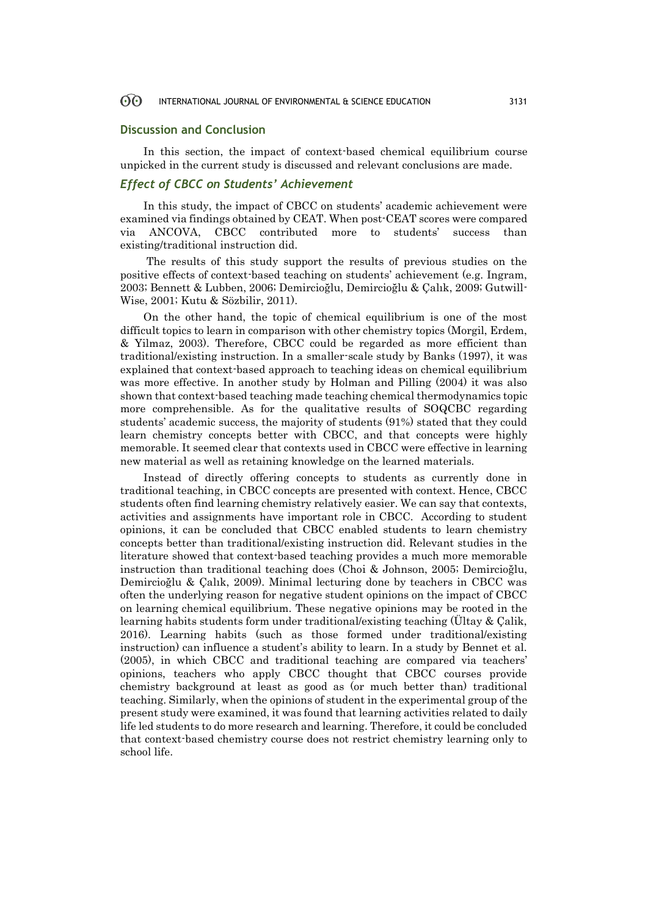### **Discussion and Conclusion**

In this section, the impact of context-based chemical equilibrium course unpicked in the current study is discussed and relevant conclusions are made.

### *Effect of CBCC on Students' Achievement*

In this study, the impact of CBCC on students' academic achievement were examined via findings obtained by CEAT. When post-CEAT scores were compared via ANCOVA, CBCC contributed more to students' success than existing/traditional instruction did.

The results of this study support the results of previous studies on the positive effects of context-based teaching on students' achievement (e.g. Ingram, 2003; Bennett & Lubben, 2006; Demircioğlu, Demircioğlu & Çalık, 2009; Gutwill-Wise, 2001; Kutu & Sözbilir, 2011).

On the other hand, the topic of chemical equilibrium is one of the most difficult topics to learn in comparison with other chemistry topics (Morgil, Erdem, & Yilmaz, 2003). Therefore, CBCC could be regarded as more efficient than traditional/existing instruction. In a smaller-scale study by Banks (1997), it was explained that context-based approach to teaching ideas on chemical equilibrium was more effective. In another study by Holman and Pilling (2004) it was also shown that context-based teaching made teaching chemical thermodynamics topic more comprehensible. As for the qualitative results of SOQCBC regarding students' academic success, the majority of students (91%) stated that they could learn chemistry concepts better with CBCC, and that concepts were highly memorable. It seemed clear that contexts used in CBCC were effective in learning new material as well as retaining knowledge on the learned materials.

Instead of directly offering concepts to students as currently done in traditional teaching, in CBCC concepts are presented with context. Hence, CBCC students often find learning chemistry relatively easier. We can say that contexts, activities and assignments have important role in CBCC. According to student opinions, it can be concluded that CBCC enabled students to learn chemistry concepts better than traditional/existing instruction did. Relevant studies in the literature showed that context-based teaching provides a much more memorable instruction than traditional teaching does (Choi & Johnson, 2005; Demircioğlu, Demircioğlu & Çalık, 2009). Minimal lecturing done by teachers in CBCC was often the underlying reason for negative student opinions on the impact of CBCC on learning chemical equilibrium. These negative opinions may be rooted in the learning habits students form under traditional/existing teaching (Ültay & Çalik, 2016). Learning habits (such as those formed under traditional/existing instruction) can influence a student's ability to learn. In a study by Bennet et al. (2005), in which CBCC and traditional teaching are compared via teachers' opinions, teachers who apply CBCC thought that CBCC courses provide chemistry background at least as good as (or much better than) traditional teaching. Similarly, when the opinions of student in the experimental group of the present study were examined, it was found that learning activities related to daily life led students to do more research and learning. Therefore, it could be concluded that context-based chemistry course does not restrict chemistry learning only to school life.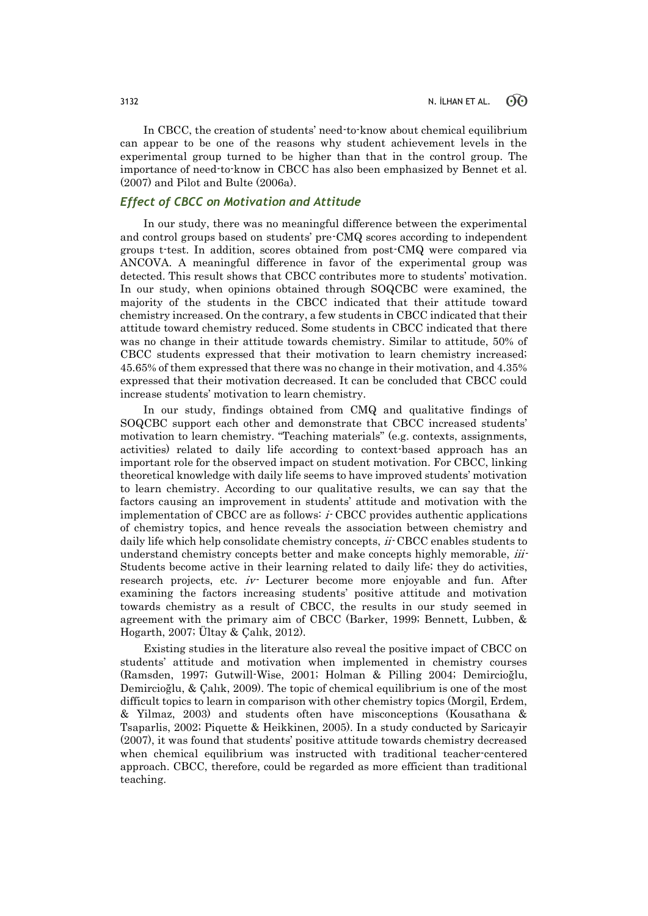In CBCC, the creation of students' need-to-know about chemical equilibrium can appear to be one of the reasons why student achievement levels in the experimental group turned to be higher than that in the control group. The importance of need-to-know in CBCC has also been emphasized by Bennet et al. (2007) and Pilot and Bulte (2006a).

### *Effect of CBCC on Motivation and Attitude*

In our study, there was no meaningful difference between the experimental and control groups based on students' pre-CMQ scores according to independent groups t-test. In addition, scores obtained from post-CMQ were compared via ANCOVA. A meaningful difference in favor of the experimental group was detected. This result shows that CBCC contributes more to students' motivation. In our study, when opinions obtained through SOQCBC were examined, the majority of the students in the CBCC indicated that their attitude toward chemistry increased. On the contrary, a few students in CBCC indicated that their attitude toward chemistry reduced. Some students in CBCC indicated that there was no change in their attitude towards chemistry. Similar to attitude, 50% of CBCC students expressed that their motivation to learn chemistry increased; 45.65% of them expressed that there was no change in their motivation, and 4.35% expressed that their motivation decreased. It can be concluded that CBCC could increase students' motivation to learn chemistry.

In our study, findings obtained from CMQ and qualitative findings of SOQCBC support each other and demonstrate that CBCC increased students' motivation to learn chemistry. "Teaching materials" (e.g. contexts, assignments, activities) related to daily life according to context-based approach has an important role for the observed impact on student motivation. For CBCC, linking theoretical knowledge with daily life seems to have improved students' motivation to learn chemistry. According to our qualitative results, we can say that the factors causing an improvement in students' attitude and motivation with the implementation of CBCC are as follows: i- CBCC provides authentic applications of chemistry topics, and hence reveals the association between chemistry and daily life which help consolidate chemistry concepts,  $ii$ -CBCC enables students to understand chemistry concepts better and make concepts highly memorable, *iii*-Students become active in their learning related to daily life; they do activities, research projects, etc. iv- Lecturer become more enjoyable and fun. After examining the factors increasing students' positive attitude and motivation towards chemistry as a result of CBCC, the results in our study seemed in agreement with the primary aim of CBCC (Barker, 1999; Bennett, Lubben, & Hogarth, 2007; Ültay & Çalık, 2012).

Existing studies in the literature also reveal the positive impact of CBCC on students' attitude and motivation when implemented in chemistry courses (Ramsden, 1997; Gutwill-Wise, 2001; Holman & Pilling 2004; Demircioğlu, Demircioğlu, & Çalık, 2009). The topic of chemical equilibrium is one of the most difficult topics to learn in comparison with other chemistry topics (Morgil, Erdem, & Yilmaz, 2003) and students often have misconceptions (Kousathana & Tsaparlis, 2002; Piquette & Heikkinen, 2005). In a study conducted by Saricayir (2007), it was found that students' positive attitude towards chemistry decreased when chemical equilibrium was instructed with traditional teacher-centered approach. CBCC, therefore, could be regarded as more efficient than traditional teaching.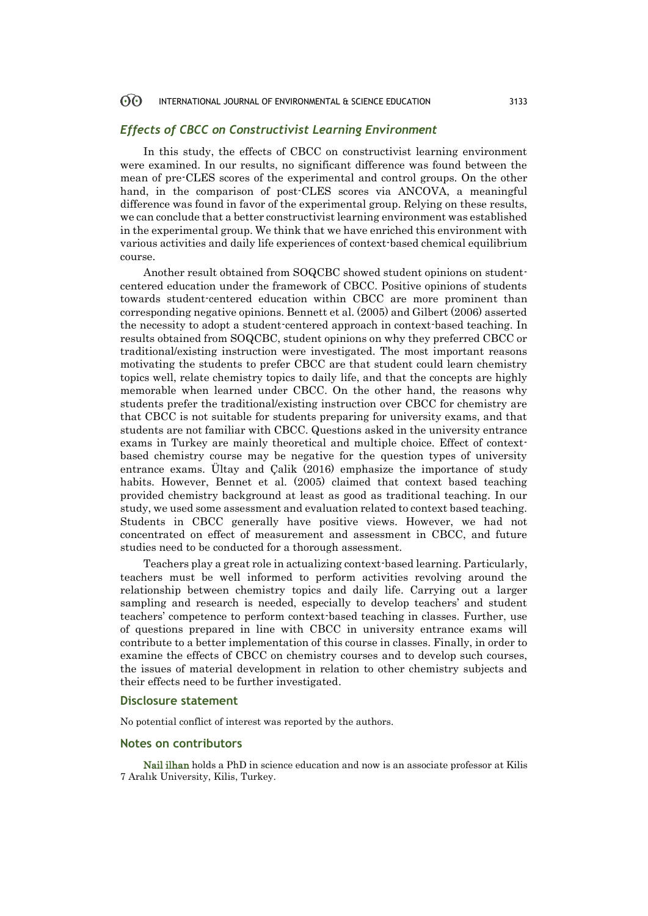### *Effects of CBCC on Constructivist Learning Environment*

In this study, the effects of CBCC on constructivist learning environment were examined. In our results, no significant difference was found between the mean of pre-CLES scores of the experimental and control groups. On the other hand, in the comparison of post-CLES scores via ANCOVA, a meaningful difference was found in favor of the experimental group. Relying on these results, we can conclude that a better constructivist learning environment was established in the experimental group. We think that we have enriched this environment with various activities and daily life experiences of context-based chemical equilibrium course.

Another result obtained from SOQCBC showed student opinions on studentcentered education under the framework of CBCC. Positive opinions of students towards student-centered education within CBCC are more prominent than corresponding negative opinions. Bennett et al. (2005) and Gilbert (2006) asserted the necessity to adopt a student-centered approach in context-based teaching. In results obtained from SOQCBC, student opinions on why they preferred CBCC or traditional/existing instruction were investigated. The most important reasons motivating the students to prefer CBCC are that student could learn chemistry topics well, relate chemistry topics to daily life, and that the concepts are highly memorable when learned under CBCC. On the other hand, the reasons why students prefer the traditional/existing instruction over CBCC for chemistry are that CBCC is not suitable for students preparing for university exams, and that students are not familiar with CBCC. Questions asked in the university entrance exams in Turkey are mainly theoretical and multiple choice. Effect of contextbased chemistry course may be negative for the question types of university entrance exams. Ültay and Çalik (2016) emphasize the importance of study habits. However, Bennet et al. (2005) claimed that context based teaching provided chemistry background at least as good as traditional teaching. In our study, we used some assessment and evaluation related to context based teaching. Students in CBCC generally have positive views. However, we had not concentrated on effect of measurement and assessment in CBCC, and future studies need to be conducted for a thorough assessment.

Teachers play a great role in actualizing context-based learning. Particularly, teachers must be well informed to perform activities revolving around the relationship between chemistry topics and daily life. Carrying out a larger sampling and research is needed, especially to develop teachers' and student teachers' competence to perform context-based teaching in classes. Further, use of questions prepared in line with CBCC in university entrance exams will contribute to a better implementation of this course in classes. Finally, in order to examine the effects of CBCC on chemistry courses and to develop such courses, the issues of material development in relation to other chemistry subjects and their effects need to be further investigated.

### **Disclosure statement**

No potential conflict of interest was reported by the authors.

### **Notes on contributors**

Nail ilhan holds a PhD in science education and now is an associate professor at Kilis 7 Aralık University, Kilis, Turkey.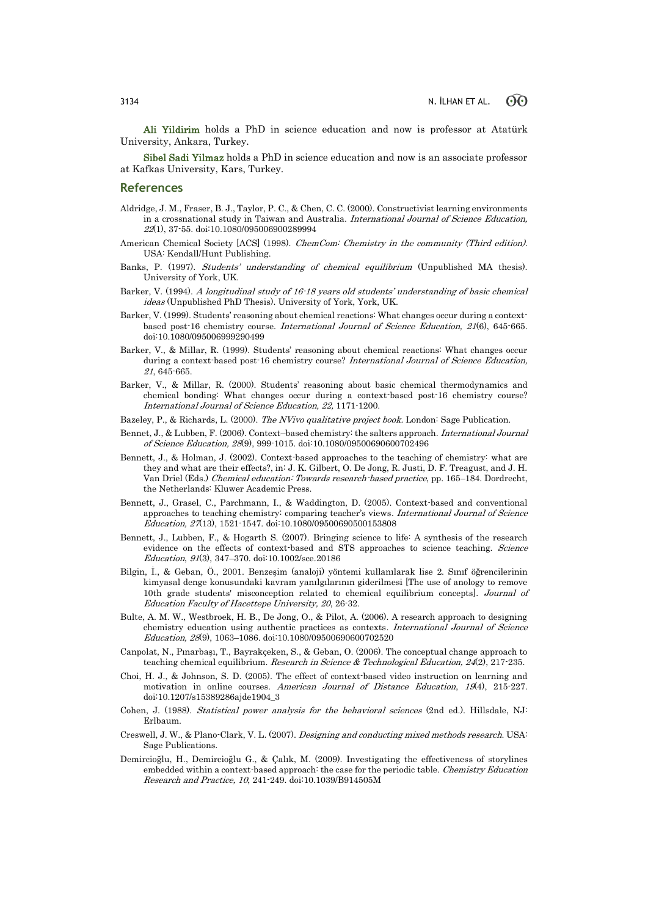Ali Yildirim holds a PhD in science education and now is professor at Atatürk University, Ankara, Turkey.

Sibel Sadi Yilmaz holds a PhD in science education and now is an associate professor at Kafkas University, Kars, Turkey.

### **References**

- Aldridge, J. M., Fraser, B. J., Taylor, P. C., & Chen, C. C. (2000). Constructivist learning environments in a crossnational study in Taiwan and Australia. International Journal of Science Education, <sup>22</sup>(1), 37-55. doi:10.1080/095006900289994
- American Chemical Society [ACS] (1998). ChemCom: Chemistry in the community (Third edition). USA: Kendall/Hunt Publishing.
- Banks, P. (1997). Students' understanding of chemical equilibrium (Unpublished MA thesis). University of York, UK.
- Barker, V. (1994). A longitudinal study of 16-18 years old students' understanding of basic chemical ideas (Unpublished PhD Thesis). University of York, York, UK.
- Barker, V. (1999). Students' reasoning about chemical reactions: What changes occur during a contextbased post-16 chemistry course. International Journal of Science Education, 21(6), 645-665. doi:10.1080/095006999290499
- Barker, V., & Millar, R. (1999). Students' reasoning about chemical reactions: What changes occur during a context-based post-16 chemistry course? International Journal of Science Education, <sup>21</sup>, 645-665.
- Barker, V., & Millar, R. (2000). Students' reasoning about basic chemical thermodynamics and chemical bonding: What changes occur during a context-based post-16 chemistry course? International Journal of Science Education, 22, 1171-1200.
- Bazeley, P., & Richards, L. (2000). The NVivo qualitative project book. London: Sage Publication.
- Bennet, J., & Lubben, F. (2006). Context–based chemistry: the salters approach. International Journal of Science Education, 28(9), 999-1015. doi:10.1080/09500690600702496
- Bennett, J., & Holman, J. (2002). Context-based approaches to the teaching of chemistry: what are they and what are their effects?, in: J. K. Gilbert, O. De Jong, R. Justi, D. F. Treagust, and J. H. Van Driel (Eds.) Chemical education: Towards research-based practice, pp. 165–184. Dordrecht, the Netherlands: Kluwer Academic Press.
- Bennett, J., Grasel, C., Parchmann, I., & Waddington, D. (2005). Context-based and conventional approaches to teaching chemistry: comparing teacher's views. International Journal of Science Education, 27(13), 1521-1547. doi:10.1080/09500690500153808
- Bennett, J., Lubben, F., & Hogarth S. (2007). Bringing science to life: A synthesis of the research evidence on the effects of context-based and STS approaches to science teaching. Science Education, 91(3), 347–370. doi:10.1002/sce.20186
- Bilgin, İ., & Geban, Ö., 2001. Benzeşim (analoji) yöntemi kullanılarak lise 2. Sınıf öğrencilerinin kimyasal denge konusundaki kavram yanılgılarının giderilmesi [The use of anology to remove 10th grade students' misconception related to chemical equilibrium concepts]. Journal of Education Faculty of Hacettepe University, 20, 26-32.
- Bulte, A. M. W., Westbroek, H. B., De Jong, O., & Pilot, A. (2006). A research approach to designing chemistry education using authentic practices as contexts. International Journal of Science Education, 28(9), 1063–1086. doi:10.1080/09500690600702520
- Canpolat, N., Pınarbaşı, T., Bayrakçeken, S., & Geban, O. (2006). The conceptual change approach to teaching chemical equilibrium. Research in Science & Technological Education,  $24(2)$ ,  $217-235$ .
- Choi, H. J., & Johnson, S. D. (2005). The effect of context-based video instruction on learning and motivation in online courses. American Journal of Distance Education, 19(4), 215-227. doi:10.1207/s15389286ajde1904\_3
- Cohen, J. (1988). Statistical power analysis for the behavioral sciences (2nd ed.). Hillsdale, NJ: Erlbaum.
- Creswell, J. W., & Plano-Clark, V. L. (2007). Designing and conducting mixed methods research. USA: Sage Publications.
- Demircioğlu, H., Demircioğlu G., & Çalık, M. (2009). Investigating the effectiveness of storylines embedded within a context-based approach: the case for the periodic table. Chemistry Education Research and Practice, 10, 241-249. doi:10.1039/B914505M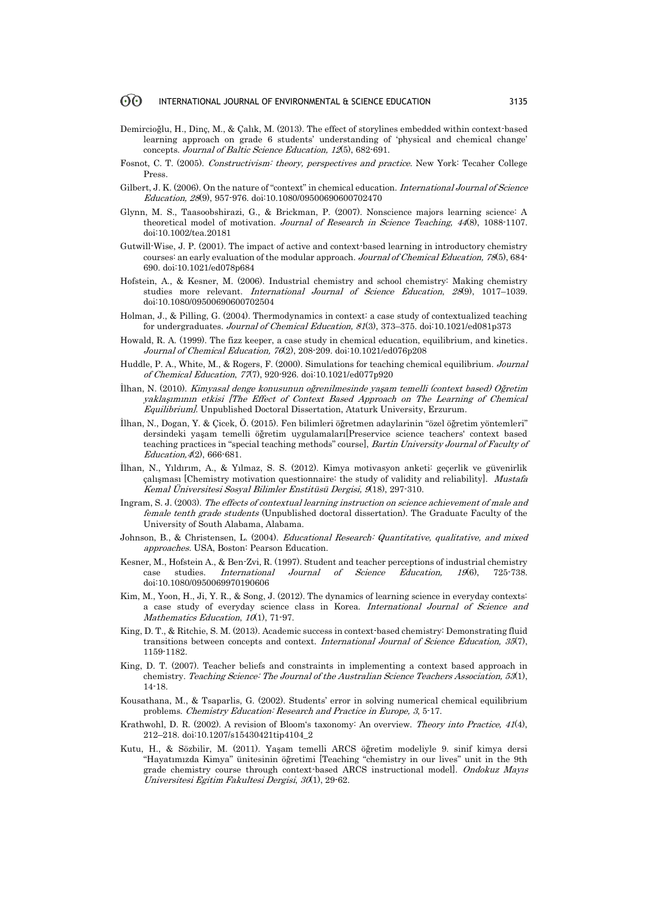- Demircioğlu, H., Dinç, M., & Çalık, M. (2013). The effect of storylines embedded within context-based learning approach on grade 6 students' understanding of 'physical and chemical change' concepts. Journal of Baltic Science Education, 12(5), 682-691.
- Fosnot, C. T. (2005). Constructivism: theory, perspectives and practice. New York: Tecaher College Press.
- Gilbert, J. K. (2006). On the nature of "context" in chemical education. International Journal of Science Education, 28(9), 957-976. doi:10.1080/09500690600702470
- Glynn, M. S., Taasoobshirazi, G., & Brickman, P. (2007). Nonscience majors learning science: A theoretical model of motivation. Journal of Research in Science Teaching, <sup>44</sup>(8), 1088-1107. doi:10.1002/tea.20181
- Gutwill-Wise, J. P. (2001). The impact of active and context-based learning in introductory chemistry courses: an early evaluation of the modular approach. Journal of Chemical Education, 78(5), 684- 690. doi:10.1021/ed078p684
- Hofstein, A., & Kesner, M. (2006). Industrial chemistry and school chemistry: Making chemistry studies more relevant. International Journal of Science Education, 28(9), 1017–1039. doi:10.1080/09500690600702504
- Holman, J., & Pilling, G. (2004). Thermodynamics in context: a case study of contextualized teaching for undergraduates. Journal of Chemical Education, 81(3), 373–375. doi:10.1021/ed081p373
- Howald, R. A. (1999). The fizz keeper, a case study in chemical education, equilibrium, and kinetics. Journal of Chemical Education, 76(2), 208-209. doi:10.1021/ed076p208
- Huddle, P. A., White, M., & Rogers, F. (2000). Simulations for teaching chemical equilibrium. Journal of Chemical Education, 77(7), 920-926. doi:10.1021/ed077p920
- İlhan, N. (2010). Kimyasal denge konusunun oğrenilmesinde yaşam temelli (context based) Oğretim yaklaşımının etkisi [The Effect of Context Based Approach on The Learning of Chemical Equilibrium]. Unpublished Doctoral Dissertation, Ataturk University, Erzurum.
- İlhan, N., Dogan, Y. & Çicek, Ö. (2015). Fen bilimleri öğretmen adaylarinin "özel öğretim yöntemleri" dersindeki yaşam temelli öğretim uygulamaları[Preservice science teachers' context based teaching practices in "special teaching methods" course], Bartin University Journal of Faculty of Education,4(2), 666-681.
- İlhan, N., Yıldırım, A., & Yılmaz, S. S. (2012). Kimya motivasyon anketi: geçerlik ve güvenirlik çalışması [Chemistry motivation questionnaire: the study of validity and reliability]. Mustafa Kemal Üniversitesi Sosyal Bilimler Enstitüsü Dergisi, 9(18), 297-310.
- Ingram, S. J. (2003). The effects of contextual learning instruction on science achievement of male and female tenth grade students (Unpublished doctoral dissertation). The Graduate Faculty of the University of South Alabama, Alabama.
- Johnson, B., & Christensen, L. (2004). Educational Research: Quantitative, qualitative, and mixed approaches. USA, Boston: Pearson Education.
- Kesner, M., Hofstein A., & Ben-Zvi, R. (1997). Student and teacher perceptions of industrial chemistry case studies. International Journal of Science Education, 19(6), 725-738. doi:10.1080/0950069970190606
- Kim, M., Yoon, H., Ji, Y. R., & Song, J. (2012). The dynamics of learning science in everyday contexts: a case study of everyday science class in Korea. International Journal of Science and Mathematics Education, 10(1), 71-97.
- King, D. T., & Ritchie, S. M. (2013). Academic success in context-based chemistry: Demonstrating fluid transitions between concepts and context. International Journal of Science Education, 35(7), 1159-1182.
- King, D. T. (2007). Teacher beliefs and constraints in implementing a context based approach in chemistry. Teaching Science: The Journal of the Australian Science Teachers Association, 53(1), 14-18.
- Kousathana, M., & Tsaparlis, G. (2002). Students' error in solving numerical chemical equilibrium problems. Chemistry Education: Research and Practice in Europe, <sup>3</sup>, 5-17.
- Krathwohl, D. R. (2002). A revision of Bloom's taxonomy: An overview. Theory into Practice, 41(4), 212–218. doi:10.1207/s15430421tip4104\_2
- Kutu, H., & Sözbilir, M. (2011). Yaşam temelli ARCS öğretim modeliyle 9. sinif kimya dersi "Hayatımızda Kimya" ünitesinin öğretimi [Teaching "chemistry in our lives" unit in the 9th grade chemistry course through context-based ARCS instructional model]. Ondokuz Mayıs Universitesi Egitim Fakultesi Dergisi, 30(1), 29-62.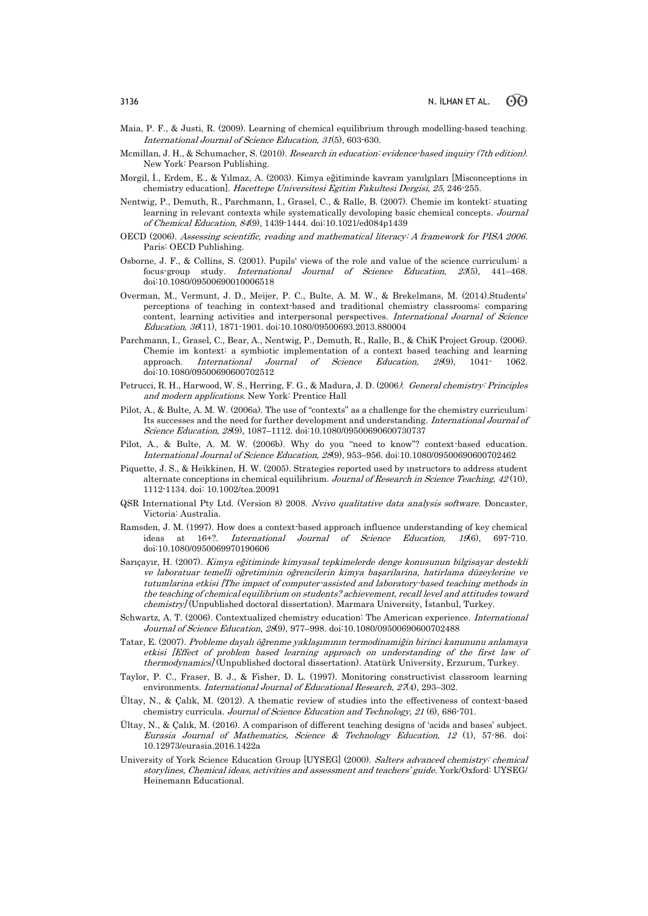- Maia, P. F., & Justi, R. (2009). Learning of chemical equilibrium through modelling‐based teaching. International Journal of Science Education, 31(5), 603-630.
- Mcmillan, J. H., & Schumacher, S. (2010). Research in education: evidence-based inquiry (7th edition). New York: Pearson Publishing.
- Morgil, İ., Erdem, E., & Yılmaz, A. (2003). Kimya eğitiminde kavram yanılgıları [Misconceptions in chemistry education]. Hacettepe Universitesi Egitim Fakultesi Dergisi, 25, 246-255.
- Nentwig, P., Demuth, R., Parchmann, I., Grasel, C., & Ralle, B. (2007). Chemie im kontekt: stuating learning in relevant contexts while systematically devoloping basic chemical concepts. Journal of Chemical Education, 84(9), 1439-1444. doi:10.1021/ed084p1439
- OECD (2006). Assessing scientific, reading and mathematical literacy: A framework for PISA 2006. Paris: OECD Publishing.
- Osborne, J. F., & Collins, S. (2001). Pupils' views of the role and value of the science curriculum: a focus-group study. International Journal of Science Education, 23(5), 441–468. doi:10.1080/09500690010006518
- Overman, M., Vermunt, J. D., Meijer, P. C., Bulte, A. M. W., & Brekelmans, M. (2014).Students' perceptions of teaching in context-based and traditional chemistry classrooms: comparing content, learning activities and interpersonal perspectives. International Journal of Science Education, 36(11), 1871-1901. doi:10.1080/09500693.2013.880004
- Parchmann, I., Grasel, C., Bear, A., Nentwig, P., Demuth, R., Ralle, B., & ChiK Project Group. (2006). Chemie im kontext: a symbiotic implementation of a context based teaching and learning approach. International Journal of Science Education, 28(9), 1041- 1062. doi:10.1080/09500690600702512
- Petrucci, R. H., Harwood, W. S., Herring, F. G., & Madura, J. D. (2006). General chemistry: Principles and modern applications. New York: Prentice Hall
- Pilot, A., & Bulte, A. M. W. (2006a). The use of "contexts" as a challenge for the chemistry curriculum: Its successes and the need for further development and understanding. International Journal of Science Education, 28(9), 1087–1112. doi:10.1080/09500690600730737
- Pilot, A., & Bulte, A. M. W. (2006b). Why do you "need to know"? context-based education. International Journal of Science Education, 28(9), 953–956. doi:10.1080/09500690600702462
- Piquette, J. S., & Heikkinen, H. W. (2005). Strategies reported used by ınstructors to address student alternate conceptions in chemical equilibrium. Journal of Research in Science Teaching, <sup>42</sup> (10), 1112-1134. doi: 10.1002/tea.20091
- QSR International Pty Ltd. (Version 8) 2008. Nvivo qualitative data analysis software. Doncaster, Victoria: Australia.
- Ramsden, J. M. (1997). How does a context-based approach influence understanding of key chemical ideas at 16+?. International Journal of Science Education, 19(6), 697-710. doi:10.1080/0950069970190606
- Sarıçayır, H. (2007). Kimya eğitiminde kimyasal tepkimelerde denge konusunun bilgisayar destekli ve laboratuar temelli oğretiminin oğrencilerin kimya başarilarina, hatirlama düzeylerine ve tutumlarina etkisi [The impact of computer-assisted and laboratory-based teaching methods in the teaching of chemical equilibrium on students? achievement, recall level and attitudes toward chemistry] (Unpublished doctoral dissertation). Marmara University, İstanbul, Turkey.
- Schwartz, A. T. (2006). Contextualized chemistry education: The American experience. International Journal of Science Education, 28(9), 977–998. doi:10.1080/09500690600702488
- Tatar, E. (2007). Probleme dayalı öğrenme yaklaşımının termodinamiğin birinci kanununu anlamaya etkisi [Effect of problem based learning approach on understanding of the first law of thermodynamics] (Unpublished doctoral dissertation). Atatürk University, Erzurum, Turkey.
- Taylor, P. C., Fraser, B. J., & Fisher, D. L. (1997). Monitoring constructivist classroom learning environments. International Journal of Educational Research, 27(4), 293-302.
- Ültay, N., & Çalık, M. (2012). A thematic review of studies into the effectiveness of context-based chemistry curricula. Journal of Science Education and Technology, 21 (6), 686-701.
- Ültay, N., & Çalık, M. (2016). A comparison of different teaching designs of 'acids and bases' subject. Eurasia Journal of Mathematics, Science & Technology Education,  $12$  (1), 57-86. doi: 10.12973/eurasia.2016.1422a
- University of York Science Education Group [UYSEG] (2000). Salters advanced chemistry: chemical storylines, Chemical ideas, activities and assessment and teachers' guide. York/Oxford: UYSEG/ Heinemann Educational.